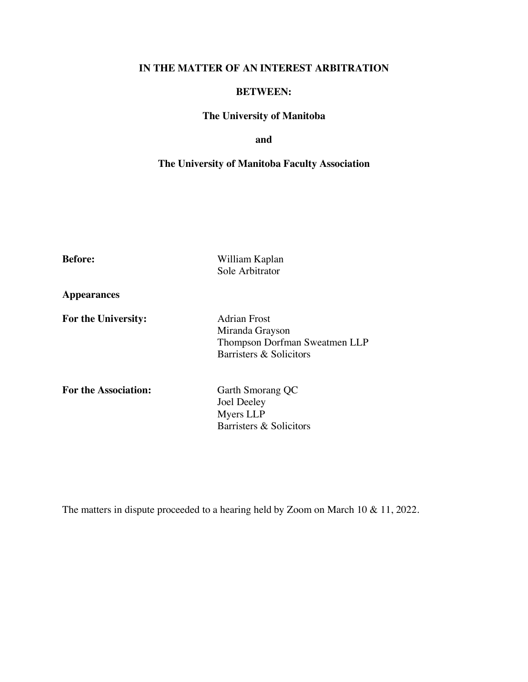# **IN THE MATTER OF AN INTEREST ARBITRATION**

# **BETWEEN:**

# **The University of Manitoba**

# **and**

# **The University of Manitoba Faculty Association**

| <b>Before:</b>              | William Kaplan<br>Sole Arbitrator                                                                  |
|-----------------------------|----------------------------------------------------------------------------------------------------|
| Appearances                 |                                                                                                    |
| <b>For the University:</b>  | <b>Adrian Frost</b><br>Miranda Grayson<br>Thompson Dorfman Sweatmen LLP<br>Barristers & Solicitors |
| <b>For the Association:</b> | Garth Smorang QC<br>Joel Deeley<br>Myers LLP<br>Barristers & Solicitors                            |

The matters in dispute proceeded to a hearing held by Zoom on March 10 & 11, 2022.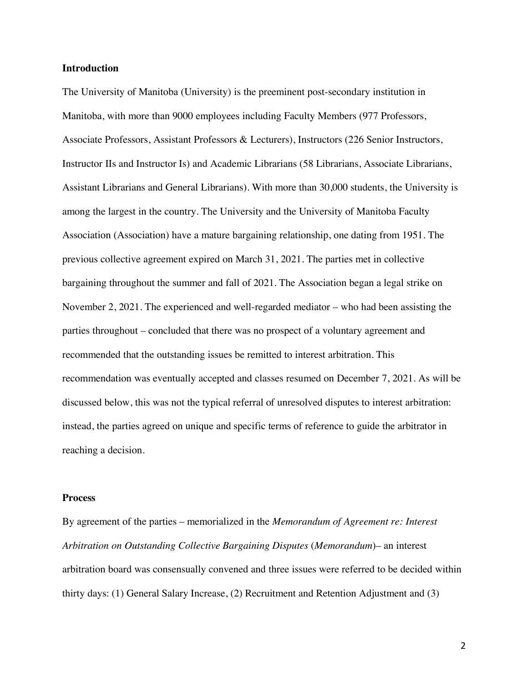#### **Introduction**

The University of Manitoba (University) is the preeminent post-secondary institution in Manitoba, with more than 9000 employees including Faculty Members (977 Professors, Associate Professors, Assistant Professors & Lecturers), Instructors (226 Senior Instructors, Instructor IIs and Instructor Is) and Academic Librarians (58 Librarians, Associate Librarians, Assistant Librarians and General Librarians). With more than 30,000 students, the University is among the largest in the country. The University and the University of Manitoba Faculty Association (Association) have a mature bargaining relationship, one dating from 1951. The previous collective agreement expired on March 31, 2021. The parties met in collective bargaining throughout the summer and fall of 2021. The Association began a legal strike on November 2, 2021. The experienced and well-regarded mediator – who had been assisting the parties throughout – concluded that there was no prospect of a voluntary agreement and recommended that the outstanding issues be remitted to interest arbitration. This recommendation was eventually accepted and classes resumed on December 7, 2021. As will be discussed below, this was not the typical referral of unresolved disputes to interest arbitration: instead, the parties agreed on unique and specific terms of reference to guide the arbitrator in reaching a decision.

#### **Process**

By agreement of the parties – memorialized in the *Memorandum of Agreement re: Interest Arbitration on Outstanding Collective Bargaining Disputes* (*Memorandum*)– an interest arbitration board was consensually convened and three issues were referred to be decided within thirty days: (1) General Salary Increase, (2) Recruitment and Retention Adjustment and (3)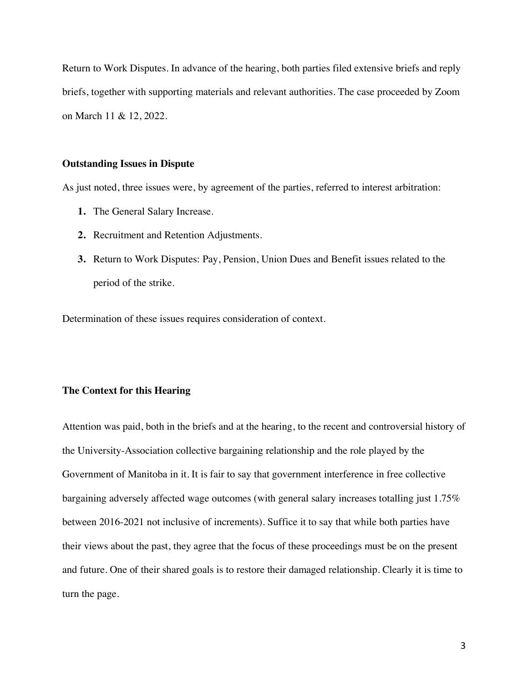Return to Work Disputes. In advance of the hearing, both parties filed extensive briefs and reply briefs, together with supporting materials and relevant authorities. The case proceeded by Zoom on March 11 & 12, 2022.

#### **Outstanding Issues in Dispute**

As just noted, three issues were, by agreement of the parties, referred to interest arbitration:

- **1.** The General Salary Increase.
- **2.** Recruitment and Retention Adjustments.
- **3.** Return to Work Disputes: Pay, Pension, Union Dues and Benefit issues related to the period of the strike.

Determination of these issues requires consideration of context.

#### **The Context for this Hearing**

Attention was paid, both in the briefs and at the hearing, to the recent and controversial history of the University-Association collective bargaining relationship and the role played by the Government of Manitoba in it. It is fair to say that government interference in free collective bargaining adversely affected wage outcomes (with general salary increases totalling just 1.75% between 2016-2021 not inclusive of increments). Suffice it to say that while both parties have their views about the past, they agree that the focus of these proceedings must be on the present and future. One of their shared goals is to restore their damaged relationship. Clearly it is time to turn the page.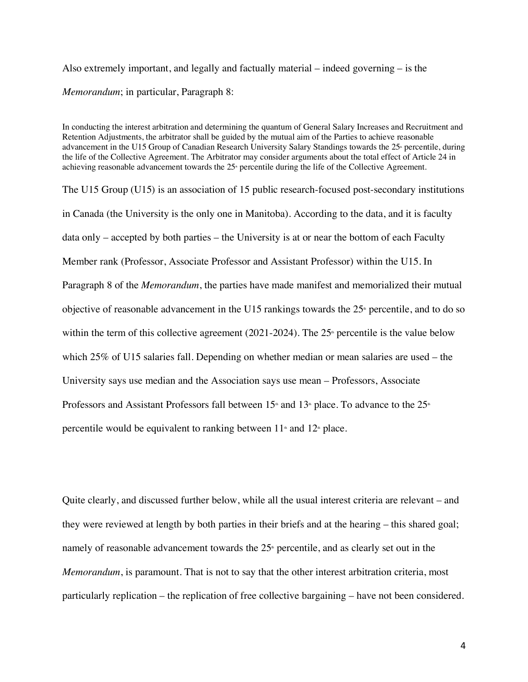Also extremely important, and legally and factually material – indeed governing – is the *Memorandum*; in particular, Paragraph 8:

In conducting the interest arbitration and determining the quantum of General Salary Increases and Recruitment and Retention Adjustments, the arbitrator shall be guided by the mutual aim of the Parties to achieve reasonable advancement in the U15 Group of Canadian Research University Salary Standings towards the 25<sup>th</sup> percentile, during the life of the Collective Agreement. The Arbitrator may consider arguments about the total effect of Article 24 in achieving reasonable advancement towards the 25<sup>\*</sup> percentile during the life of the Collective Agreement.

The U15 Group (U15) is an association of 15 public research-focused post-secondary institutions in Canada (the University is the only one in Manitoba). According to the data, and it is faculty data only – accepted by both parties – the University is at or near the bottom of each Faculty Member rank (Professor, Associate Professor and Assistant Professor) within the U15. In Paragraph 8 of the *Memorandum*, the parties have made manifest and memorialized their mutual objective of reasonable advancement in the U15 rankings towards the  $25<sup>*</sup>$  percentile, and to do so within the term of this collective agreement (2021-2024). The  $25<sup>*</sup>$  percentile is the value below which 25% of U15 salaries fall. Depending on whether median or mean salaries are used – the University says use median and the Association says use mean – Professors, Associate Professors and Assistant Professors fall between  $15<sup>*</sup>$  and  $13<sup>*</sup>$  place. To advance to the  $25<sup>*</sup>$ percentile would be equivalent to ranking between  $11<sup>th</sup>$  and  $12<sup>th</sup>$  place.

Quite clearly, and discussed further below, while all the usual interest criteria are relevant – and they were reviewed at length by both parties in their briefs and at the hearing – this shared goal; namely of reasonable advancement towards the  $25<sup>*</sup>$  percentile, and as clearly set out in the *Memorandum*, is paramount. That is not to say that the other interest arbitration criteria, most particularly replication – the replication of free collective bargaining – have not been considered.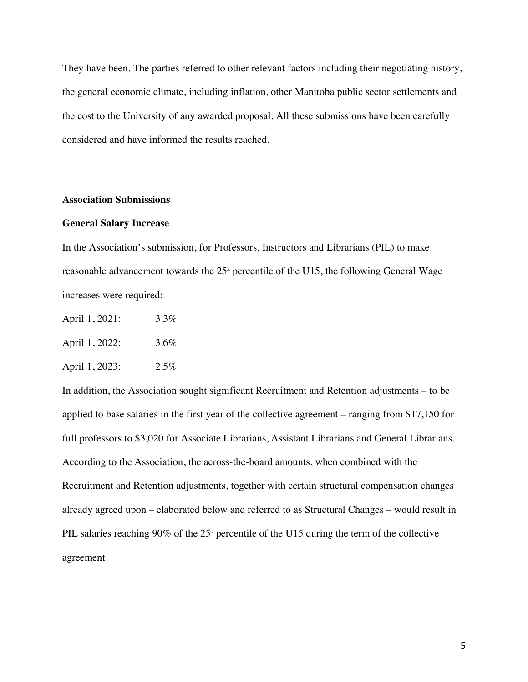They have been. The parties referred to other relevant factors including their negotiating history, the general economic climate, including inflation, other Manitoba public sector settlements and the cost to the University of any awarded proposal. All these submissions have been carefully considered and have informed the results reached.

#### **Association Submissions**

# **General Salary Increase**

In the Association's submission, for Professors, Instructors and Librarians (PIL) to make reasonable advancement towards the  $25<sup>*</sup>$  percentile of the U15, the following General Wage increases were required:

- April 1, 2021: 3.3%
- April 1, 2022: 3.6%
- April 1, 2023: 2.5%

In addition, the Association sought significant Recruitment and Retention adjustments – to be applied to base salaries in the first year of the collective agreement – ranging from \$17,150 for full professors to \$3,020 for Associate Librarians, Assistant Librarians and General Librarians. According to the Association, the across-the-board amounts, when combined with the Recruitment and Retention adjustments, together with certain structural compensation changes already agreed upon – elaborated below and referred to as Structural Changes – would result in PIL salaries reaching 90% of the  $25<sup>*</sup>$  percentile of the U15 during the term of the collective agreement.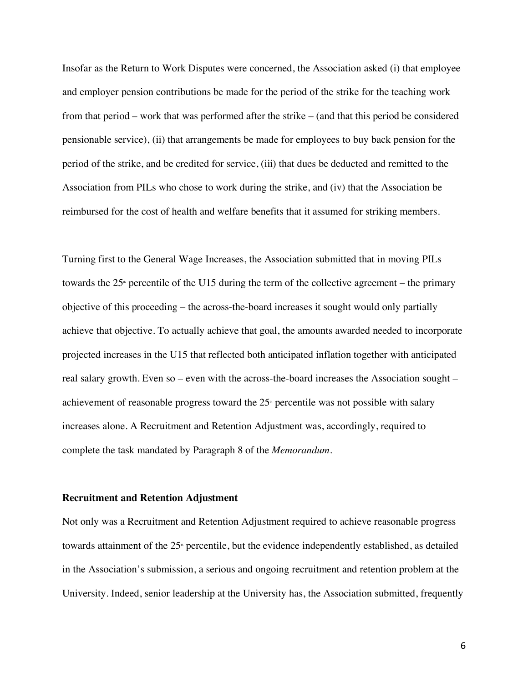Insofar as the Return to Work Disputes were concerned, the Association asked (i) that employee and employer pension contributions be made for the period of the strike for the teaching work from that period – work that was performed after the strike – (and that this period be considered pensionable service), (ii) that arrangements be made for employees to buy back pension for the period of the strike, and be credited for service, (iii) that dues be deducted and remitted to the Association from PILs who chose to work during the strike, and (iv) that the Association be reimbursed for the cost of health and welfare benefits that it assumed for striking members.

Turning first to the General Wage Increases, the Association submitted that in moving PILs towards the  $25<sup>*</sup>$  percentile of the U15 during the term of the collective agreement – the primary objective of this proceeding – the across-the-board increases it sought would only partially achieve that objective. To actually achieve that goal, the amounts awarded needed to incorporate projected increases in the U15 that reflected both anticipated inflation together with anticipated real salary growth. Even so – even with the across-the-board increases the Association sought – achievement of reasonable progress toward the  $25<sup>*</sup>$  percentile was not possible with salary increases alone. A Recruitment and Retention Adjustment was, accordingly, required to complete the task mandated by Paragraph 8 of the *Memorandum*.

## **Recruitment and Retention Adjustment**

Not only was a Recruitment and Retention Adjustment required to achieve reasonable progress towards attainment of the 25<sup>th</sup> percentile, but the evidence independently established, as detailed in the Association's submission, a serious and ongoing recruitment and retention problem at the University. Indeed, senior leadership at the University has, the Association submitted, frequently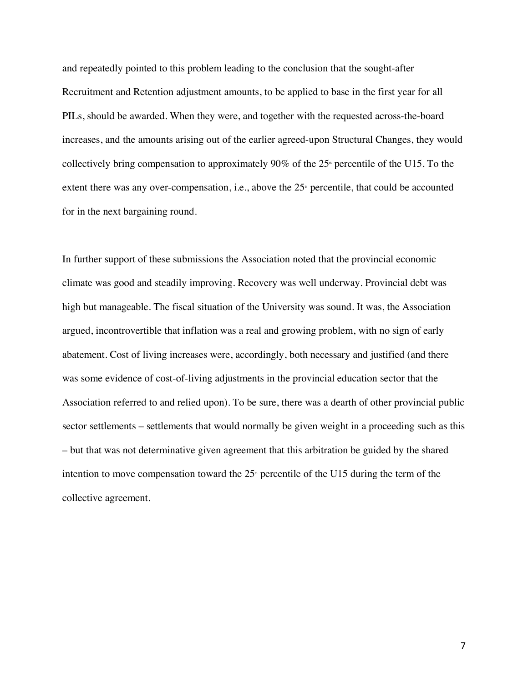and repeatedly pointed to this problem leading to the conclusion that the sought-after Recruitment and Retention adjustment amounts, to be applied to base in the first year for all PILs, should be awarded. When they were, and together with the requested across-the-board increases, and the amounts arising out of the earlier agreed-upon Structural Changes, they would collectively bring compensation to approximately 90% of the  $25<sup>*</sup>$  percentile of the U15. To the extent there was any over-compensation, i.e., above the  $25<sup>*</sup>$  percentile, that could be accounted for in the next bargaining round.

In further support of these submissions the Association noted that the provincial economic climate was good and steadily improving. Recovery was well underway. Provincial debt was high but manageable. The fiscal situation of the University was sound. It was, the Association argued, incontrovertible that inflation was a real and growing problem, with no sign of early abatement. Cost of living increases were, accordingly, both necessary and justified (and there was some evidence of cost-of-living adjustments in the provincial education sector that the Association referred to and relied upon). To be sure, there was a dearth of other provincial public sector settlements – settlements that would normally be given weight in a proceeding such as this – but that was not determinative given agreement that this arbitration be guided by the shared intention to move compensation toward the  $25<sup>th</sup>$  percentile of the U15 during the term of the collective agreement.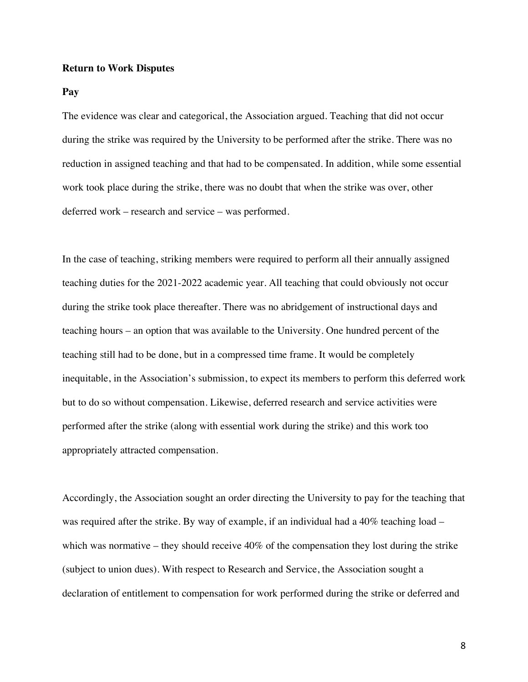#### **Return to Work Disputes**

#### **Pay**

The evidence was clear and categorical, the Association argued. Teaching that did not occur during the strike was required by the University to be performed after the strike. There was no reduction in assigned teaching and that had to be compensated. In addition, while some essential work took place during the strike, there was no doubt that when the strike was over, other deferred work – research and service – was performed.

In the case of teaching, striking members were required to perform all their annually assigned teaching duties for the 2021-2022 academic year. All teaching that could obviously not occur during the strike took place thereafter. There was no abridgement of instructional days and teaching hours – an option that was available to the University. One hundred percent of the teaching still had to be done, but in a compressed time frame. It would be completely inequitable, in the Association's submission, to expect its members to perform this deferred work but to do so without compensation. Likewise, deferred research and service activities were performed after the strike (along with essential work during the strike) and this work too appropriately attracted compensation.

Accordingly, the Association sought an order directing the University to pay for the teaching that was required after the strike. By way of example, if an individual had a 40% teaching load – which was normative – they should receive 40% of the compensation they lost during the strike (subject to union dues). With respect to Research and Service, the Association sought a declaration of entitlement to compensation for work performed during the strike or deferred and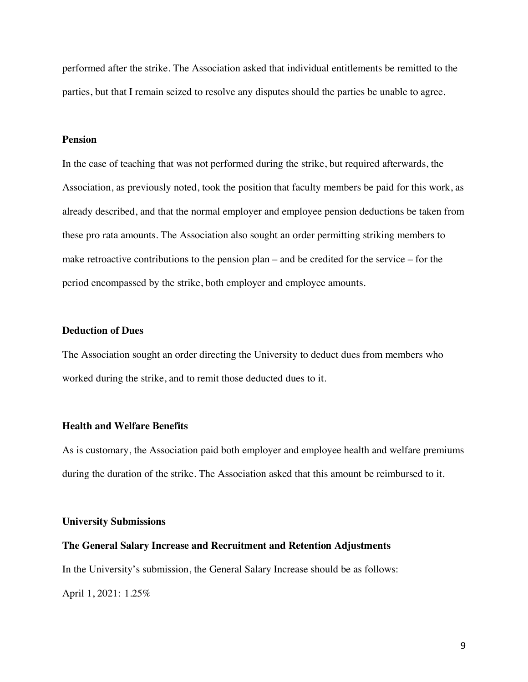performed after the strike. The Association asked that individual entitlements be remitted to the parties, but that I remain seized to resolve any disputes should the parties be unable to agree.

#### **Pension**

In the case of teaching that was not performed during the strike, but required afterwards, the Association, as previously noted, took the position that faculty members be paid for this work, as already described, and that the normal employer and employee pension deductions be taken from these pro rata amounts. The Association also sought an order permitting striking members to make retroactive contributions to the pension plan – and be credited for the service – for the period encompassed by the strike, both employer and employee amounts.

#### **Deduction of Dues**

The Association sought an order directing the University to deduct dues from members who worked during the strike, and to remit those deducted dues to it.

#### **Health and Welfare Benefits**

As is customary, the Association paid both employer and employee health and welfare premiums during the duration of the strike. The Association asked that this amount be reimbursed to it.

#### **University Submissions**

#### **The General Salary Increase and Recruitment and Retention Adjustments**

In the University's submission, the General Salary Increase should be as follows:

April 1, 2021: 1.25%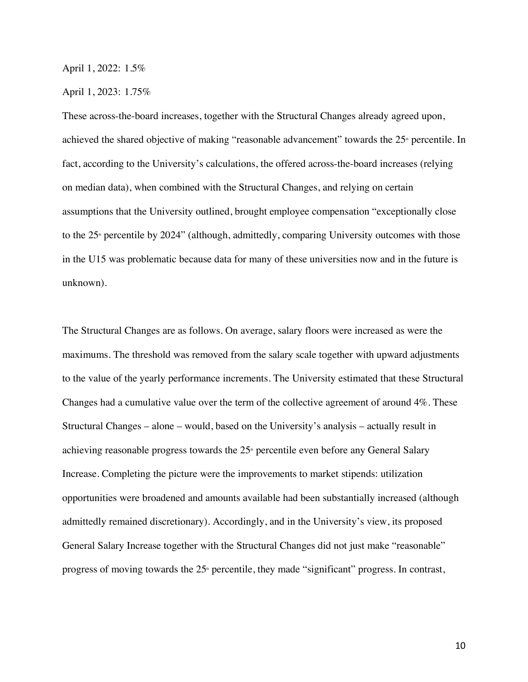#### April 1, 2022: 1.5%

#### April 1, 2023: 1.75%

These across-the-board increases, together with the Structural Changes already agreed upon, achieved the shared objective of making "reasonable advancement" towards the 25<sup>th</sup> percentile. In fact, according to the University's calculations, the offered across-the-board increases (relying on median data), when combined with the Structural Changes, and relying on certain assumptions that the University outlined, brought employee compensation "exceptionally close to the  $25<sup>*</sup>$  percentile by  $2024$ " (although, admittedly, comparing University outcomes with those in the U15 was problematic because data for many of these universities now and in the future is unknown).

The Structural Changes are as follows. On average, salary floors were increased as were the maximums. The threshold was removed from the salary scale together with upward adjustments to the value of the yearly performance increments. The University estimated that these Structural Changes had a cumulative value over the term of the collective agreement of around 4%. These Structural Changes – alone – would, based on the University's analysis – actually result in achieving reasonable progress towards the  $25<sup>*</sup>$  percentile even before any General Salary Increase. Completing the picture were the improvements to market stipends: utilization opportunities were broadened and amounts available had been substantially increased (although admittedly remained discretionary). Accordingly, and in the University's view, its proposed General Salary Increase together with the Structural Changes did not just make "reasonable" progress of moving towards the  $25<sup>*</sup>$  percentile, they made "significant" progress. In contrast,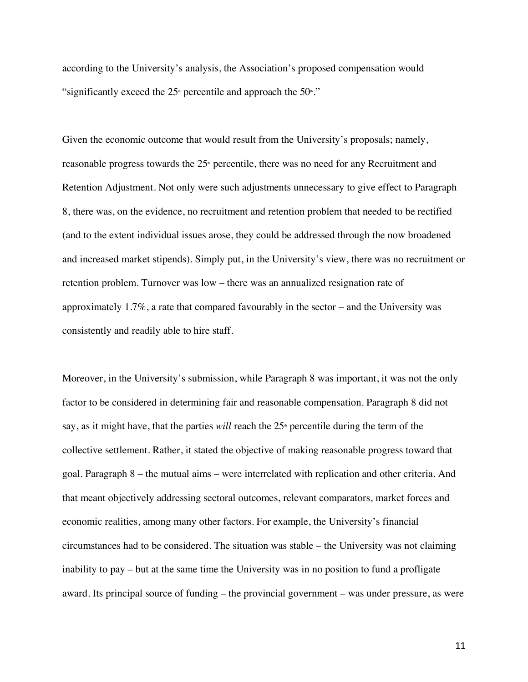according to the University's analysis, the Association's proposed compensation would "significantly exceed the  $25<sup>*</sup>$  percentile and approach the  $50<sup>*</sup>$ ."

Given the economic outcome that would result from the University's proposals; namely, reasonable progress towards the  $25<sup>*</sup>$  percentile, there was no need for any Recruitment and Retention Adjustment. Not only were such adjustments unnecessary to give effect to Paragraph 8, there was, on the evidence, no recruitment and retention problem that needed to be rectified (and to the extent individual issues arose, they could be addressed through the now broadened and increased market stipends). Simply put, in the University's view, there was no recruitment or retention problem. Turnover was low – there was an annualized resignation rate of approximately 1.7%, a rate that compared favourably in the sector – and the University was consistently and readily able to hire staff.

Moreover, in the University's submission, while Paragraph 8 was important, it was not the only factor to be considered in determining fair and reasonable compensation. Paragraph 8 did not say, as it might have, that the parties *will* reach the 25<sup>th</sup> percentile during the term of the collective settlement. Rather, it stated the objective of making reasonable progress toward that goal. Paragraph 8 – the mutual aims – were interrelated with replication and other criteria. And that meant objectively addressing sectoral outcomes, relevant comparators, market forces and economic realities, among many other factors. For example, the University's financial circumstances had to be considered. The situation was stable – the University was not claiming inability to pay – but at the same time the University was in no position to fund a profligate award. Its principal source of funding – the provincial government – was under pressure, as were

11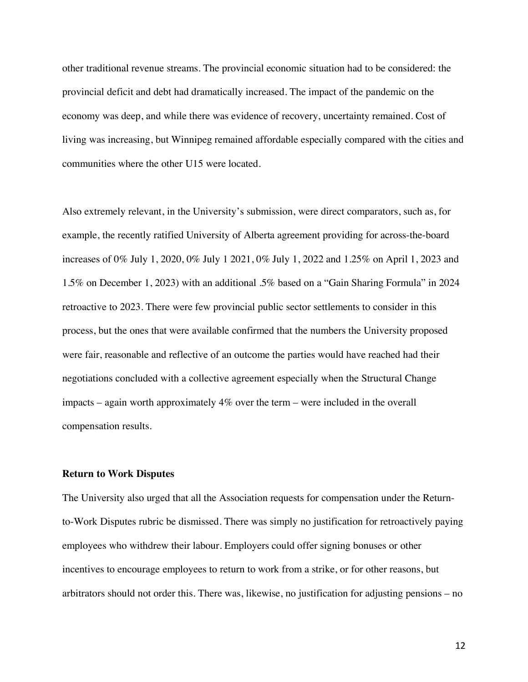other traditional revenue streams. The provincial economic situation had to be considered: the provincial deficit and debt had dramatically increased. The impact of the pandemic on the economy was deep, and while there was evidence of recovery, uncertainty remained. Cost of living was increasing, but Winnipeg remained affordable especially compared with the cities and communities where the other U15 were located.

Also extremely relevant, in the University's submission, were direct comparators, such as, for example, the recently ratified University of Alberta agreement providing for across-the-board increases of 0% July 1, 2020, 0% July 1 2021, 0% July 1, 2022 and 1.25% on April 1, 2023 and 1.5% on December 1, 2023) with an additional .5% based on a "Gain Sharing Formula" in 2024 retroactive to 2023. There were few provincial public sector settlements to consider in this process, but the ones that were available confirmed that the numbers the University proposed were fair, reasonable and reflective of an outcome the parties would have reached had their negotiations concluded with a collective agreement especially when the Structural Change impacts – again worth approximately 4% over the term – were included in the overall compensation results.

#### **Return to Work Disputes**

The University also urged that all the Association requests for compensation under the Returnto-Work Disputes rubric be dismissed. There was simply no justification for retroactively paying employees who withdrew their labour. Employers could offer signing bonuses or other incentives to encourage employees to return to work from a strike, or for other reasons, but arbitrators should not order this. There was, likewise, no justification for adjusting pensions – no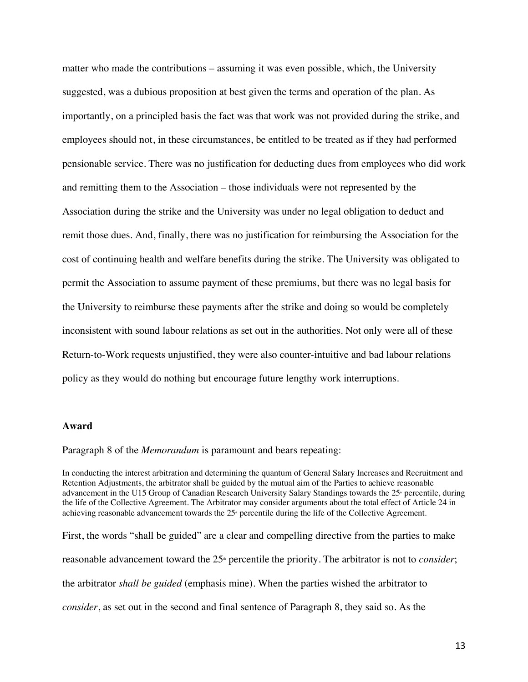matter who made the contributions – assuming it was even possible, which, the University suggested, was a dubious proposition at best given the terms and operation of the plan. As importantly, on a principled basis the fact was that work was not provided during the strike, and employees should not, in these circumstances, be entitled to be treated as if they had performed pensionable service. There was no justification for deducting dues from employees who did work and remitting them to the Association – those individuals were not represented by the Association during the strike and the University was under no legal obligation to deduct and remit those dues. And, finally, there was no justification for reimbursing the Association for the cost of continuing health and welfare benefits during the strike. The University was obligated to permit the Association to assume payment of these premiums, but there was no legal basis for the University to reimburse these payments after the strike and doing so would be completely inconsistent with sound labour relations as set out in the authorities. Not only were all of these Return-to-Work requests unjustified, they were also counter-intuitive and bad labour relations policy as they would do nothing but encourage future lengthy work interruptions.

#### **Award**

Paragraph 8 of the *Memorandum* is paramount and bears repeating:

In conducting the interest arbitration and determining the quantum of General Salary Increases and Recruitment and Retention Adjustments, the arbitrator shall be guided by the mutual aim of the Parties to achieve reasonable advancement in the U15 Group of Canadian Research University Salary Standings towards the 25<sup>th</sup> percentile, during the life of the Collective Agreement. The Arbitrator may consider arguments about the total effect of Article 24 in achieving reasonable advancement towards the  $25<sup>s</sup>$  percentile during the life of the Collective Agreement.

First, the words "shall be guided" are a clear and compelling directive from the parties to make reasonable advancement toward the 25<sup>th</sup> percentile the priority. The arbitrator is not to *consider*; the arbitrator *shall be guided* (emphasis mine). When the parties wished the arbitrator to *consider*, as set out in the second and final sentence of Paragraph 8, they said so. As the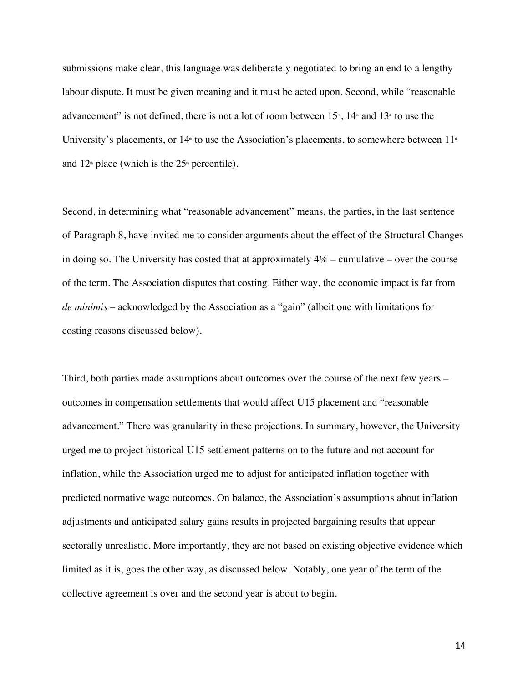submissions make clear, this language was deliberately negotiated to bring an end to a lengthy labour dispute. It must be given meaning and it must be acted upon. Second, while "reasonable advancement" is not defined, there is not a lot of room between  $15<sup>*</sup>$ ,  $14<sup>*</sup>$  and  $13<sup>*</sup>$  to use the University's placements, or  $14<sup>th</sup>$  to use the Association's placements, to somewhere between  $11<sup>th</sup>$ and  $12<sup>th</sup>$  place (which is the  $25<sup>th</sup>$  percentile).

Second, in determining what "reasonable advancement" means, the parties, in the last sentence of Paragraph 8, have invited me to consider arguments about the effect of the Structural Changes in doing so. The University has costed that at approximately  $4\%$  – cumulative – over the course of the term. The Association disputes that costing. Either way, the economic impact is far from *de minimis* – acknowledged by the Association as a "gain" (albeit one with limitations for costing reasons discussed below).

Third, both parties made assumptions about outcomes over the course of the next few years – outcomes in compensation settlements that would affect U15 placement and "reasonable advancement." There was granularity in these projections. In summary, however, the University urged me to project historical U15 settlement patterns on to the future and not account for inflation, while the Association urged me to adjust for anticipated inflation together with predicted normative wage outcomes. On balance, the Association's assumptions about inflation adjustments and anticipated salary gains results in projected bargaining results that appear sectorally unrealistic. More importantly, they are not based on existing objective evidence which limited as it is, goes the other way, as discussed below. Notably, one year of the term of the collective agreement is over and the second year is about to begin.

14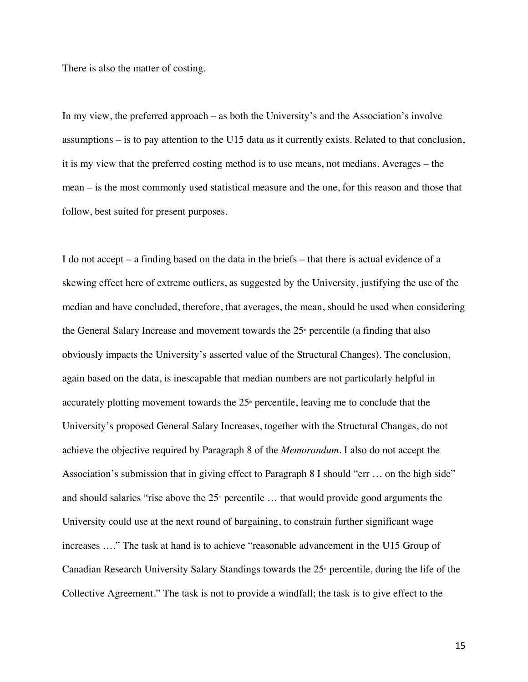There is also the matter of costing.

In my view, the preferred approach – as both the University's and the Association's involve assumptions – is to pay attention to the U15 data as it currently exists. Related to that conclusion, it is my view that the preferred costing method is to use means, not medians. Averages – the mean – is the most commonly used statistical measure and the one, for this reason and those that follow, best suited for present purposes.

I do not accept – a finding based on the data in the briefs – that there is actual evidence of a skewing effect here of extreme outliers, as suggested by the University, justifying the use of the median and have concluded, therefore, that averages, the mean, should be used when considering the General Salary Increase and movement towards the  $25<sup>*</sup>$  percentile (a finding that also obviously impacts the University's asserted value of the Structural Changes). The conclusion, again based on the data, is inescapable that median numbers are not particularly helpful in accurately plotting movement towards the  $25<sup>*</sup>$  percentile, leaving me to conclude that the University's proposed General Salary Increases, together with the Structural Changes, do not achieve the objective required by Paragraph 8 of the *Memorandum*. I also do not accept the Association's submission that in giving effect to Paragraph 8 I should "err … on the high side" and should salaries "rise above the  $25<sup>*</sup>$  percentile ... that would provide good arguments the University could use at the next round of bargaining, to constrain further significant wage increases …." The task at hand is to achieve "reasonable advancement in the U15 Group of Canadian Research University Salary Standings towards the  $25<sup>*</sup>$  percentile, during the life of the Collective Agreement." The task is not to provide a windfall; the task is to give effect to the

15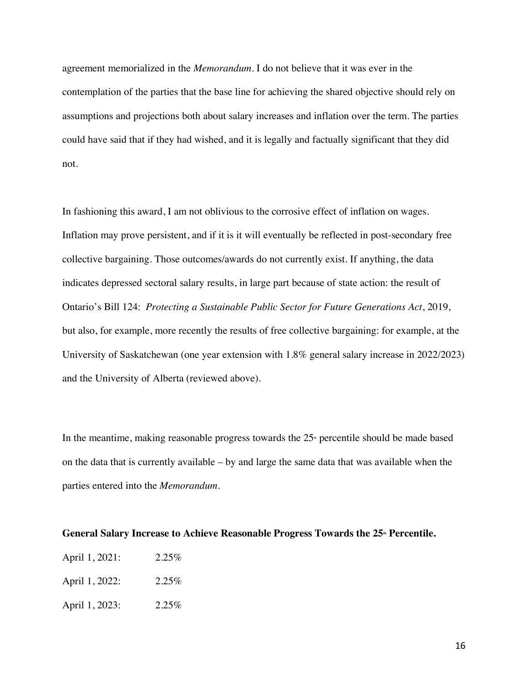agreement memorialized in the *Memorandum.* I do not believe that it was ever in the contemplation of the parties that the base line for achieving the shared objective should rely on assumptions and projections both about salary increases and inflation over the term. The parties could have said that if they had wished, and it is legally and factually significant that they did not.

In fashioning this award, I am not oblivious to the corrosive effect of inflation on wages. Inflation may prove persistent, and if it is it will eventually be reflected in post-secondary free collective bargaining. Those outcomes/awards do not currently exist. If anything, the data indicates depressed sectoral salary results, in large part because of state action: the result of Ontario's Bill 124: *Protecting a Sustainable Public Sector for Future Generations Act*, 2019, but also, for example, more recently the results of free collective bargaining: for example, at the University of Saskatchewan (one year extension with 1.8% general salary increase in 2022/2023) and the University of Alberta (reviewed above).

In the meantime, making reasonable progress towards the  $25<sup>*</sup>$  percentile should be made based on the data that is currently available – by and large the same data that was available when the parties entered into the *Memorandum*.

#### General Salary Increase to Achieve Reasonable Progress Towards the 25<sup>th</sup> Percentile.

| April 1, 2021: | 2.25% |
|----------------|-------|
| April 1, 2022: | 2.25% |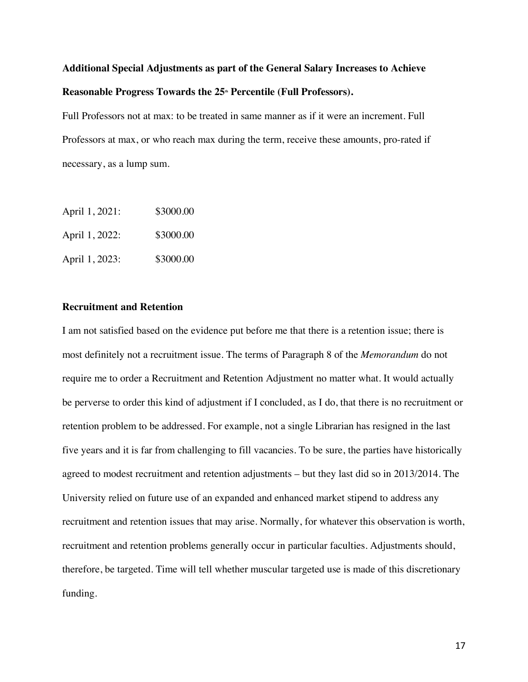# **Additional Special Adjustments as part of the General Salary Increases to Achieve**  Reasonable Progress Towards the 25<sup>th</sup> Percentile (Full Professors).

Full Professors not at max: to be treated in same manner as if it were an increment. Full Professors at max, or who reach max during the term, receive these amounts, pro-rated if necessary, as a lump sum.

| April 1, 2021: | \$3000.00 |
|----------------|-----------|
| April 1, 2022: | \$3000.00 |
| April 1, 2023: | \$3000.00 |

# **Recruitment and Retention**

I am not satisfied based on the evidence put before me that there is a retention issue; there is most definitely not a recruitment issue. The terms of Paragraph 8 of the *Memorandum* do not require me to order a Recruitment and Retention Adjustment no matter what. It would actually be perverse to order this kind of adjustment if I concluded, as I do, that there is no recruitment or retention problem to be addressed. For example, not a single Librarian has resigned in the last five years and it is far from challenging to fill vacancies. To be sure, the parties have historically agreed to modest recruitment and retention adjustments – but they last did so in 2013/2014. The University relied on future use of an expanded and enhanced market stipend to address any recruitment and retention issues that may arise. Normally, for whatever this observation is worth, recruitment and retention problems generally occur in particular faculties. Adjustments should, therefore, be targeted. Time will tell whether muscular targeted use is made of this discretionary funding.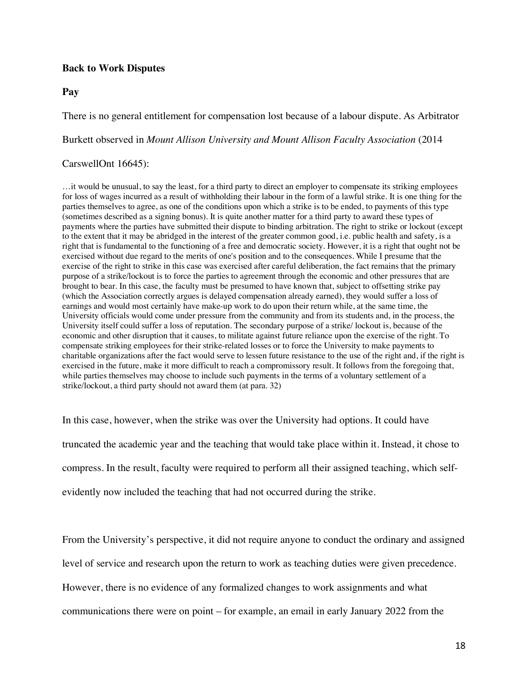# **Back to Work Disputes**

### **Pay**

There is no general entitlement for compensation lost because of a labour dispute. As Arbitrator

Burkett observed in *Mount Allison University and Mount Allison Faculty Association* (2014

## CarswellOnt 16645):

…it would be unusual, to say the least, for a third party to direct an employer to compensate its striking employees for loss of wages incurred as a result of withholding their labour in the form of a lawful strike. It is one thing for the parties themselves to agree, as one of the conditions upon which a strike is to be ended, to payments of this type (sometimes described as a signing bonus). It is quite another matter for a third party to award these types of payments where the parties have submitted their dispute to binding arbitration. The right to strike or lockout (except to the extent that it may be abridged in the interest of the greater common good, i.e. public health and safety, is a right that is fundamental to the functioning of a free and democratic society. However, it is a right that ought not be exercised without due regard to the merits of one's position and to the consequences. While I presume that the exercise of the right to strike in this case was exercised after careful deliberation, the fact remains that the primary purpose of a strike/lockout is to force the parties to agreement through the economic and other pressures that are brought to bear. In this case, the faculty must be presumed to have known that, subject to offsetting strike pay (which the Association correctly argues is delayed compensation already earned), they would suffer a loss of earnings and would most certainly have make-up work to do upon their return while, at the same time, the University officials would come under pressure from the community and from its students and, in the process, the University itself could suffer a loss of reputation. The secondary purpose of a strike/ lockout is, because of the economic and other disruption that it causes, to militate against future reliance upon the exercise of the right. To compensate striking employees for their strike-related losses or to force the University to make payments to charitable organizations after the fact would serve to lessen future resistance to the use of the right and, if the right is exercised in the future, make it more difficult to reach a compromissory result. It follows from the foregoing that, while parties themselves may choose to include such payments in the terms of a voluntary settlement of a strike/lockout, a third party should not award them (at para. 32)

In this case, however, when the strike was over the University had options. It could have truncated the academic year and the teaching that would take place within it. Instead, it chose to compress. In the result, faculty were required to perform all their assigned teaching, which selfevidently now included the teaching that had not occurred during the strike.

From the University's perspective, it did not require anyone to conduct the ordinary and assigned level of service and research upon the return to work as teaching duties were given precedence. However, there is no evidence of any formalized changes to work assignments and what communications there were on point – for example, an email in early January 2022 from the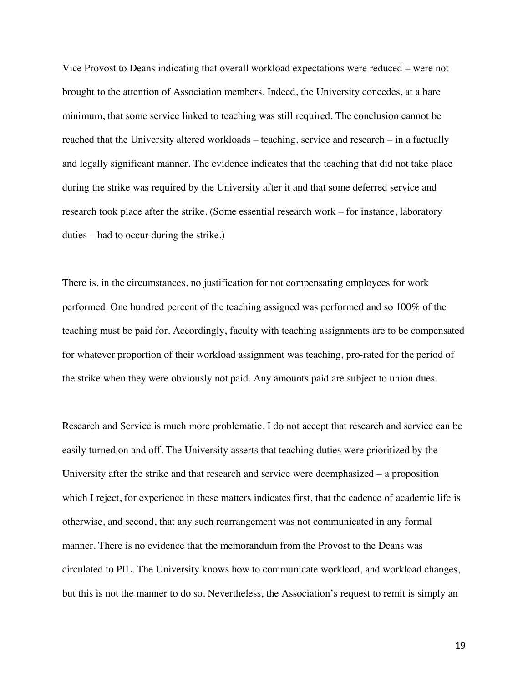Vice Provost to Deans indicating that overall workload expectations were reduced – were not brought to the attention of Association members. Indeed, the University concedes, at a bare minimum, that some service linked to teaching was still required. The conclusion cannot be reached that the University altered workloads – teaching, service and research – in a factually and legally significant manner. The evidence indicates that the teaching that did not take place during the strike was required by the University after it and that some deferred service and research took place after the strike. (Some essential research work – for instance, laboratory duties – had to occur during the strike.)

There is, in the circumstances, no justification for not compensating employees for work performed. One hundred percent of the teaching assigned was performed and so 100% of the teaching must be paid for. Accordingly, faculty with teaching assignments are to be compensated for whatever proportion of their workload assignment was teaching, pro-rated for the period of the strike when they were obviously not paid. Any amounts paid are subject to union dues.

Research and Service is much more problematic. I do not accept that research and service can be easily turned on and off. The University asserts that teaching duties were prioritized by the University after the strike and that research and service were deemphasized – a proposition which I reject, for experience in these matters indicates first, that the cadence of academic life is otherwise, and second, that any such rearrangement was not communicated in any formal manner. There is no evidence that the memorandum from the Provost to the Deans was circulated to PIL. The University knows how to communicate workload, and workload changes, but this is not the manner to do so. Nevertheless, the Association's request to remit is simply an

19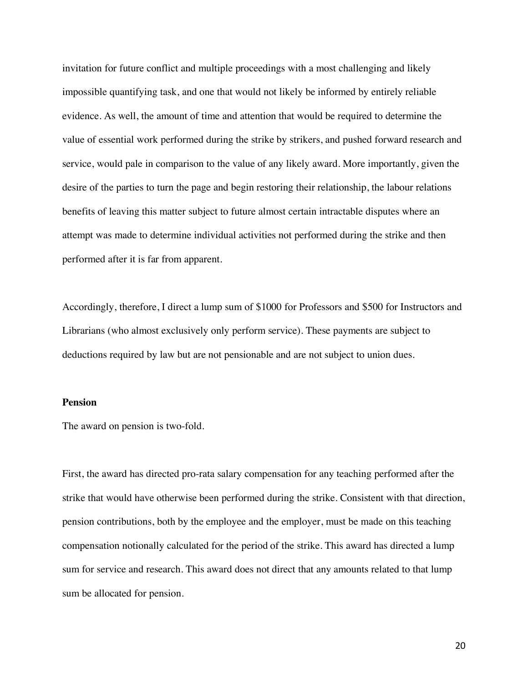invitation for future conflict and multiple proceedings with a most challenging and likely impossible quantifying task, and one that would not likely be informed by entirely reliable evidence. As well, the amount of time and attention that would be required to determine the value of essential work performed during the strike by strikers, and pushed forward research and service, would pale in comparison to the value of any likely award. More importantly, given the desire of the parties to turn the page and begin restoring their relationship, the labour relations benefits of leaving this matter subject to future almost certain intractable disputes where an attempt was made to determine individual activities not performed during the strike and then performed after it is far from apparent.

Accordingly, therefore, I direct a lump sum of \$1000 for Professors and \$500 for Instructors and Librarians (who almost exclusively only perform service). These payments are subject to deductions required by law but are not pensionable and are not subject to union dues.

#### **Pension**

The award on pension is two-fold.

First, the award has directed pro-rata salary compensation for any teaching performed after the strike that would have otherwise been performed during the strike. Consistent with that direction, pension contributions, both by the employee and the employer, must be made on this teaching compensation notionally calculated for the period of the strike. This award has directed a lump sum for service and research. This award does not direct that any amounts related to that lump sum be allocated for pension.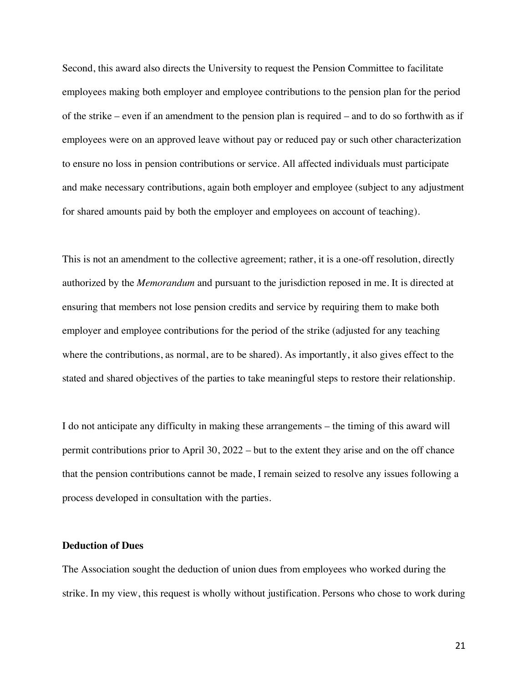Second, this award also directs the University to request the Pension Committee to facilitate employees making both employer and employee contributions to the pension plan for the period of the strike – even if an amendment to the pension plan is required – and to do so forthwith as if employees were on an approved leave without pay or reduced pay or such other characterization to ensure no loss in pension contributions or service. All affected individuals must participate and make necessary contributions, again both employer and employee (subject to any adjustment for shared amounts paid by both the employer and employees on account of teaching).

This is not an amendment to the collective agreement; rather, it is a one-off resolution, directly authorized by the *Memorandum* and pursuant to the jurisdiction reposed in me. It is directed at ensuring that members not lose pension credits and service by requiring them to make both employer and employee contributions for the period of the strike (adjusted for any teaching where the contributions, as normal, are to be shared). As importantly, it also gives effect to the stated and shared objectives of the parties to take meaningful steps to restore their relationship.

I do not anticipate any difficulty in making these arrangements – the timing of this award will permit contributions prior to April 30, 2022 – but to the extent they arise and on the off chance that the pension contributions cannot be made, I remain seized to resolve any issues following a process developed in consultation with the parties.

#### **Deduction of Dues**

The Association sought the deduction of union dues from employees who worked during the strike. In my view, this request is wholly without justification. Persons who chose to work during